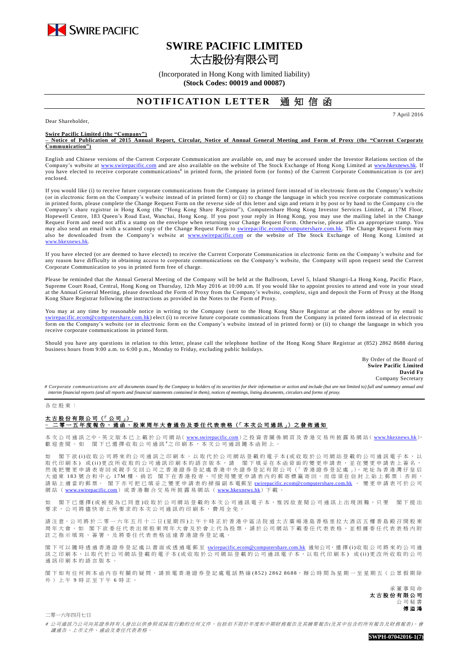

# **SWIRE PACIFIC LIMITED** 太古股份有限公司

(Incorporated in Hong Kong with limited liability) **(Stock Codes: 00019 and 00087)**

## **NOTIFICATION LETTER 通知信函**

Dear Shareholder,

**Swire Pacific Limited (the "Company")**

**– Notice of Publication of 2015 Annual Report, Circular, Notice of Annual General Meeting and Form of Proxy (the "Current Corporate Communication")**

English and Chinese versions of the Current Corporate Communication are available on, and may be accessed under the Investor Relations section of the Company's website at [www.swirepacific.com](http://www.swirepacific.com/) and are also available on the website of The Stock Exchange of Hong Kong Limited at [www.hkexnews.hk.](http://www.hkexnews.hk/) If you have elected to receive corporate communications<sup>#</sup> in printed form, the printed form (or forms) of the Current Corporate Communication is (or are) enclosed.

If you would like (i) to receive future corporate communications from the Company in printed form instead of in electronic form on the Company's website (or in electronic form on the Company's website instead of in printed form) or (ii) to change the language in which you receive corporate communications in printed form, please complete the Change Request Form on the reverse side of this letter and sign and return it by post or by hand to the Company c/o the Company's share registrar in Hong Kong (the "Hong Kong Share Registrar"), Computershare Hong Kong Investor Services Limited, at 17M Floor, Hopewell Centre, 183 Queen's Road East, Wanchai, Hong Kong. If you post your reply in Hong Kong, you may use the mailing label in the Change Request Form and need not affix a stamp on the envelope when returning your Change Request Form. Otherwise, please affix an appropriate stamp. You may also send an email with a scanned copy of the Change Request Form to *swirepacific.ecom@computershare.com.hk*. The Change Request Form may also be downloaded from the Company's website at [www.swirepacific.com](http://www.swirepacific.com/) or the website of The Stock Exchange of Hong Kong Limited at [www.hkexnews.hk](http://www.hkexnews.hk/).

If you have elected (or are deemed to have elected) to receive the Current Corporate Communication in electronic form on the Company's website and for any reason have difficulty in obtaining access to corporate communications on the Company's website, the Company will upon request send the Current Corporate Communication to you in printed form free of charge.

Please be reminded that the Annual General Meeting of the Company will be held at the Ballroom, Level 5, Island Shangri-La Hong Kong, Pacific Place, Supreme Court Road, Central, Hong Kong on Thursday, 12th May 2016 at 10:00 a.m. If you would like to appoint proxies to attend and vote in your stead at the Annual General Meeting, please download the Form of Proxy from the Company's website, complete, sign and deposit the Form of Proxy at the Hong Kong Share Registrar following the instructions as provided in the Notes to the Form of Proxy.

You may at any time by reasonable notice in writing to the Company (sent to the Hong Kong Share Registrar at the above address or by email to tershare.com.hk) elect (i) to receive future corporate communications from the Company in printed form instead of in electronic form on the Company's website (or in electronic form on the Company's website instead of in printed form) or (ii) to change the language in which you receive corporate communications in printed form.

Should you have any questions in relation to this letter, please call the telephone hotline of the Hong Kong Share Registrar at (852) 2862 8688 during business hours from 9:00 a.m. to 6:00 p.m., Monday to Friday, excluding public holidays.

> By Order of the Board of **Swire Pacific Limited David Fu** Company Secretary

7 April 2016

# Corporate communications are all documents issued by the Company to holders of its securities for their information or action and include (but are not limited to) full and summary annual and *interim financial reports (and all reports and financial statements contained in them), notices of meetings, listing documents, circulars and forms of proxy.*

#### 各 位 股 東 :

### 太古股份有限公司 (「公司」) –<br>二零 一 五 年 度 報 告 丶 通 函 丶 股 東 周 年 大 會 通 告 及 委 任 代 表 表 格(「 本 次 公 司 通 訊 」)之 發 佈 通 知

本 次 公 司 通 訊 之中、英 文 版 本 已 上 載 於 公 司 網 站( [www.swirepacific.com](http://www.swirepacific.com/)) 之 投 資 者 關 係 網 頁 及 香 港 交 易 所 披 露 易 網 站( [www.hkexnews.hk](http://www.hkexnews.hk/)), 歡迎查閱。如 閣下已選擇收取公司通訊 之印刷本,本次公司通訊隨本函附上。

如 閣下 欲 (i)收 取 公 司將 來 的 公 司 通 訊 之 印 刷 本 , 以 取 代 於 公 司 網 站 登 載 的 盛 司 化 或 收 取 於 公 司 網 站 登 載 的 公 司 通 訊 電 子 本 , 以 取代印刷本)或(ii)更改所收取的公司通訊印刷本的語言版本,請 閣下填妥在本函背面的變更申請表,並在變更申請表上簽名, 然後 把 變 更 申 請 表 寄 回 或 親 手 交 回 公 司 之 香 港 證 券 登 記 處 香 港 中 央 證 券 登 記 有 限 公 司 (「 香 港 證 券 登 記 處 」), 地 址 為 香 港 灣 仔 皇 后 大 道 東 183 號 合 和 中 心 17M 樓。 倘 若 閣 下 在 香 港 投 寄 , 可 使 用 變 更 申 請 表 内 的 郵 寄 標 籤 寄 回 , 而 毋 須 在 信 封 上 貼 上 郵 票 ; 否 則 , 請 貼 上 適 當 的 郵 票。 閣下亦可把已填妥之變更申請表的掃描副本 電郵至 [swirepacific.ecom@computershare.com.hk](mailto:swirepacific.ecom@computershare.com.hk) 。 變 更 申請表可於 公 司 網站 ( [www.swirepacific.com](http://www.swirepacific.com/)) 或香港聯合交易所披露易網站 ( [www.hkexnews.hk](http://www.hkexnews.hk/)) 下載。

如 閣 下已 邏 擇( 或 被 視 為 已 同 音 )收 取 於 公 司 綑 站 登 載 的 本 次 引 诵 訊 雷 子 本 , 惟 因 故 杏 関 公 司 诵 訊 上 出 現 困 難 , 只 要 一 閣 下 提 出 要求, 公司將儘 快 寄 上 所 要 求 的 本 次 公 司 通 訊 的 印 刷 本 , 費 用 全 免 。

請注意,公司將於二零一六年五月十二日(星期四)上午十時正於香港中區法院道太古廣場港島香格里拉大酒店五樓香島殿召開股東 周年大會。如 閣下欲委任代表出席股東周年大會及於會上代為投票,請於公司網站下載委任代表表格,並根據委任代表表格內附 註之指示填寫、簽署,及將委任代表表格送達香港證券登記處

閣下可以 隨時 透 過 香 港 證 券 登 記 處 以 書 面 或 透 過 電 郵 至 [swirepacific.ecom@computershare.com.hk](mailto:swirepacific.ecom@computershare.com.hk) 通知公司, 選 擇 (i)收 取 公 司 將 來 的 公 司 通 訊之 印 刷 本, 以 取 代 於 公 司 網 站 登 載 的 電 子 本 ( 或 收 取 於 公 司 網 站 登 載 的 公 司 通 訊 電 子 本, 以 取 代 印 刷 本) 或 (ii) 更 改 所 收 取 的 公 司 通訊印刷本的語言版本

閣下如有任何與本函內容有關的疑問,請致電香港證券登記處電話熱線(852) 2862 8688,辦公時間為星期一至星期五(公眾假期除 外 ) 上 午 9 時 正 至 下 午 6 時正。

> 承董事 局 命 太古股份有限公司 公 司 秘 書 傅溢鴻

二零一六年四月七日

# 公司通訊乃公司向其證券持有人發出以供參照或採取行動的任何文件,包括但不限於年度和中期財務報告及其摘要報告(及其中包含的所有報告及財務報表)、會 議通告、上市文件、通函及委任代表表格。